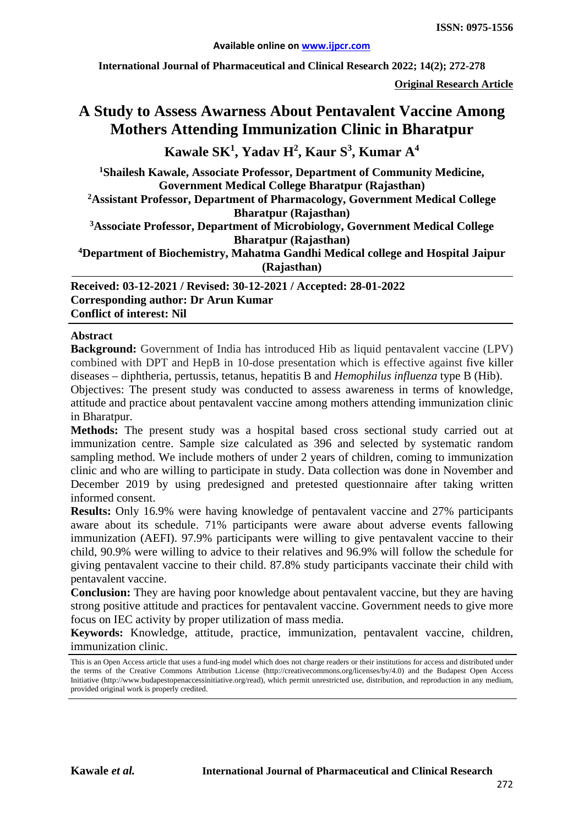**International Journal of Pharmaceutical and Clinical Research 2022; 14(2); 272-278**

**Original Research Article**

# **A Study to Assess Awarness About Pentavalent Vaccine Among Mothers Attending Immunization Clinic in Bharatpur**

**Kawale SK1 , Yadav H2 , Kaur S<sup>3</sup> , Kumar A4**

**1 Shailesh Kawale, Associate Professor, Department of Community Medicine, Government Medical College Bharatpur (Rajasthan)**

**2 Assistant Professor, Department of Pharmacology, Government Medical College Bharatpur (Rajasthan)**

**3 Associate Professor, Department of Microbiology, Government Medical College Bharatpur (Rajasthan)**

**4Department of Biochemistry, Mahatma Gandhi Medical college and Hospital Jaipur (Rajasthan)**

**Received: 03-12-2021 / Revised: 30-12-2021 / Accepted: 28-01-2022 Corresponding author: Dr Arun Kumar Conflict of interest: Nil**

#### **Abstract**

**Background:** Government of India has introduced Hib as liquid pentavalent vaccine (LPV) combined with DPT and HepB in 10-dose presentation which is effective against five killer diseases – diphtheria, pertussis, tetanus, hepatitis B and *Hemophilus influenza* type B (Hib).

Objectives: The present study was conducted to assess awareness in terms of knowledge, attitude and practice about pentavalent vaccine among mothers attending immunization clinic in Bharatpur.

**Methods:** The present study was a hospital based cross sectional study carried out at immunization centre. Sample size calculated as 396 and selected by systematic random sampling method. We include mothers of under 2 years of children, coming to immunization clinic and who are willing to participate in study. Data collection was done in November and December 2019 by using predesigned and pretested questionnaire after taking written informed consent.

**Results:** Only 16.9% were having knowledge of pentavalent vaccine and 27% participants aware about its schedule. 71% participants were aware about adverse events fallowing immunization (AEFI). 97.9% participants were willing to give pentavalent vaccine to their child, 90.9% were willing to advice to their relatives and 96.9% will follow the schedule for giving pentavalent vaccine to their child. 87.8% study participants vaccinate their child with pentavalent vaccine.

**Conclusion:** They are having poor knowledge about pentavalent vaccine, but they are having strong positive attitude and practices for pentavalent vaccine. Government needs to give more focus on IEC activity by proper utilization of mass media.

**Keywords:** Knowledge, attitude, practice, immunization, pentavalent vaccine, children, immunization clinic.

This is an Open Access article that uses a fund-ing model which does not charge readers or their institutions for access and distributed under the terms of the Creative Commons Attribution License (http://creativecommons.org/licenses/by/4.0) and the Budapest Open Access Initiative (http://www.budapestopenaccessinitiative.org/read), which permit unrestricted use, distribution, and reproduction in any medium, provided original work is properly credited.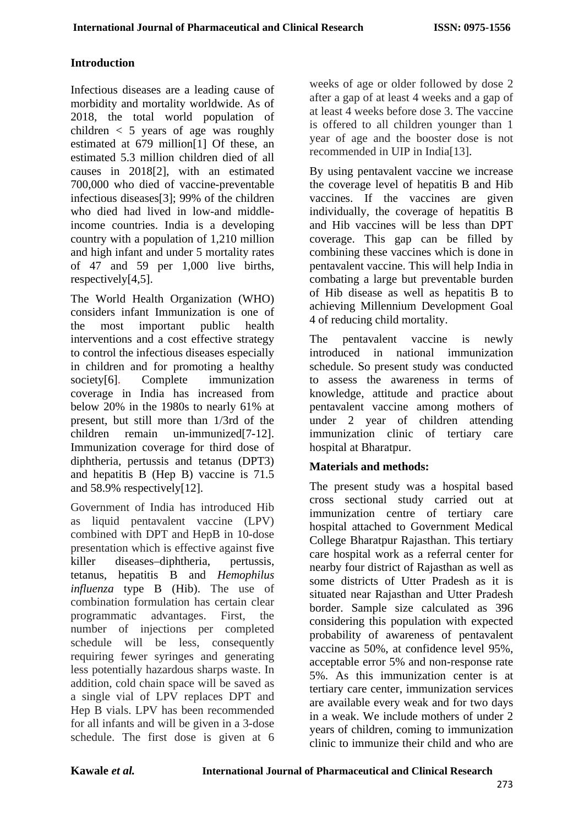### **Introduction**

Infectious diseases are a leading cause of morbidity and mortality worldwide. As of 2018, the total world population of children  $\langle 5 \rangle$  years of age was roughly estimated at 679 million[1] Of these, an estimated 5.3 million children died of all causes in 2018[2], with an estimated 700,000 who died of vaccine-preventable infectious diseases[3]; 99% of the children who died had lived in low-and middleincome countries. India is a developing country with a population of 1,210 million and high infant and under 5 mortality rates of 47 and 59 per 1,000 live births, respectively[4,5].

The World Health Organization (WHO) considers infant Immunization is one of the most important public health interventions and a cost effective strategy to control the infectious diseases especially in children and for promoting a healthy society[6]. Complete immunization coverage in India has increased from below 20% in the 1980s to nearly 61% at present, but still more than 1/3rd of the children remain un-immunized[7-12]. Immunization coverage for third dose of diphtheria, pertussis and tetanus (DPT3) and hepatitis B (Hep B) vaccine is 71.5 and 58.9% respectively[12].

Government of India has introduced Hib as liquid pentavalent vaccine (LPV) combined with DPT and HepB in 10-dose presentation which is effective against five killer diseases–diphtheria, pertussis, tetanus, hepatitis B and *Hemophilus influenza* type B (Hib). The use of combination formulation has certain clear programmatic advantages. First, the number of injections per completed schedule will be less, consequently requiring fewer syringes and generating less potentially hazardous sharps waste. In addition, cold chain space will be saved as a single vial of LPV replaces DPT and Hep B vials. LPV has been recommended for all infants and will be given in a 3-dose schedule. The first dose is given at 6

weeks of age or older followed by dose 2 after a gap of at least 4 weeks and a gap of at least 4 weeks before dose 3. The vaccine is offered to all children younger than 1 year of age and the booster dose is not recommended in UIP in India[13].

By using pentavalent vaccine we increase the coverage level of hepatitis B and Hib vaccines. If the vaccines are given individually, the coverage of hepatitis B and Hib vaccines will be less than DPT coverage. This gap can be filled by combining these vaccines which is done in pentavalent vaccine. This will help India in combating a large but preventable burden of Hib disease as well as hepatitis B to achieving Millennium Development Goal 4 of reducing child mortality.

The pentavalent vaccine is newly introduced in national immunization schedule. So present study was conducted to assess the awareness in terms of knowledge, attitude and practice about pentavalent vaccine among mothers of under 2 year of children attending immunization clinic of tertiary care hospital at Bharatpur.

#### **Materials and methods:**

The present study was a hospital based cross sectional study carried out at immunization centre of tertiary care hospital attached to Government Medical College Bharatpur Rajasthan. This tertiary care hospital work as a referral center for nearby four district of Rajasthan as well as some districts of Utter Pradesh as it is situated near Rajasthan and Utter Pradesh border. Sample size calculated as 396 considering this population with expected probability of awareness of pentavalent vaccine as 50%, at confidence level 95%, acceptable error 5% and non-response rate 5%. As this immunization center is at tertiary care center, immunization services are available every weak and for two days in a weak. We include mothers of under 2 years of children, coming to immunization clinic to immunize their child and who are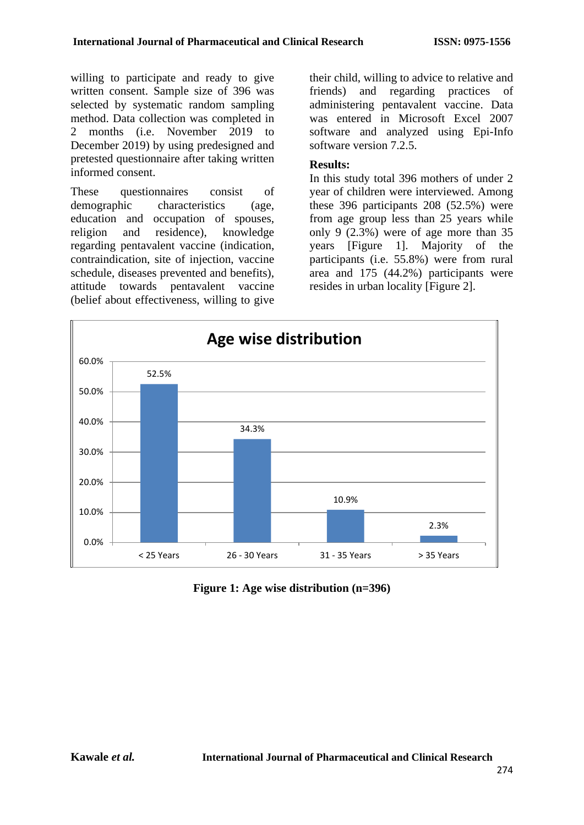willing to participate and ready to give written consent. Sample size of 396 was selected by systematic random sampling method. Data collection was completed in 2 months (i.e. November 2019 to December 2019) by using predesigned and pretested questionnaire after taking written informed consent.

These questionnaires consist of demographic characteristics (age, education and occupation of spouses, religion and residence), knowledge regarding pentavalent vaccine (indication, contraindication, site of injection, vaccine schedule, diseases prevented and benefits), attitude towards pentavalent vaccine (belief about effectiveness, willing to give

their child, willing to advice to relative and friends) and regarding practices of administering pentavalent vaccine. Data was entered in Microsoft Excel 2007 software and analyzed using Epi-Info software version 7.2.5.

#### **Results:**

In this study total 396 mothers of under 2 year of children were interviewed. Among these 396 participants 208 (52.5%) were from age group less than 25 years while only 9 (2.3%) were of age more than 35 years [Figure 1]. Majority of the participants (i.e. 55.8%) were from rural area and 175 (44.2%) participants were resides in urban locality [Figure 2].



**Figure 1: Age wise distribution (n=396)**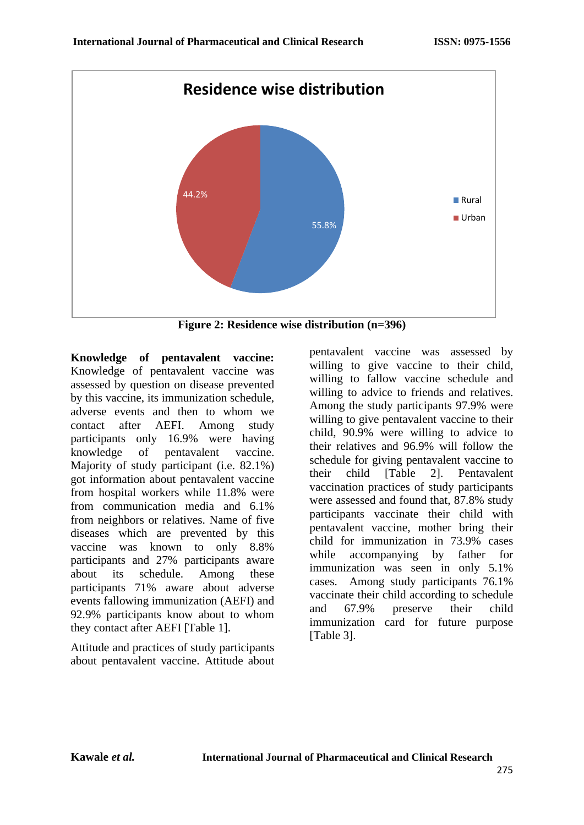

**Figure 2: Residence wise distribution (n=396)**

**Knowledge of pentavalent vaccine:**  Knowledge of pentavalent vaccine was assessed by question on disease prevented by this vaccine, its immunization schedule, adverse events and then to whom we contact after AEFI. Among study participants only 16.9% were having knowledge of pentavalent vaccine. Majority of study participant (i.e. 82.1%) got information about pentavalent vaccine from hospital workers while 11.8% were from communication media and 6.1% from neighbors or relatives. Name of five diseases which are prevented by this vaccine was known to only 8.8% participants and 27% participants aware about its schedule. Among these participants 71% aware about adverse events fallowing immunization (AEFI) and 92.9% participants know about to whom they contact after AEFI [Table 1].

Attitude and practices of study participants about pentavalent vaccine. Attitude about pentavalent vaccine was assessed by willing to give vaccine to their child, willing to fallow vaccine schedule and willing to advice to friends and relatives. Among the study participants 97.9% were willing to give pentavalent vaccine to their child, 90.9% were willing to advice to their relatives and 96.9% will follow the schedule for giving pentavalent vaccine to their child [Table 2]. Pentavalent vaccination practices of study participants were assessed and found that, 87.8% study participants vaccinate their child with pentavalent vaccine, mother bring their child for immunization in 73.9% cases while accompanying by father for immunization was seen in only 5.1% cases. Among study participants 76.1% vaccinate their child according to schedule and 67.9% preserve their child immunization card for future purpose [Table 3].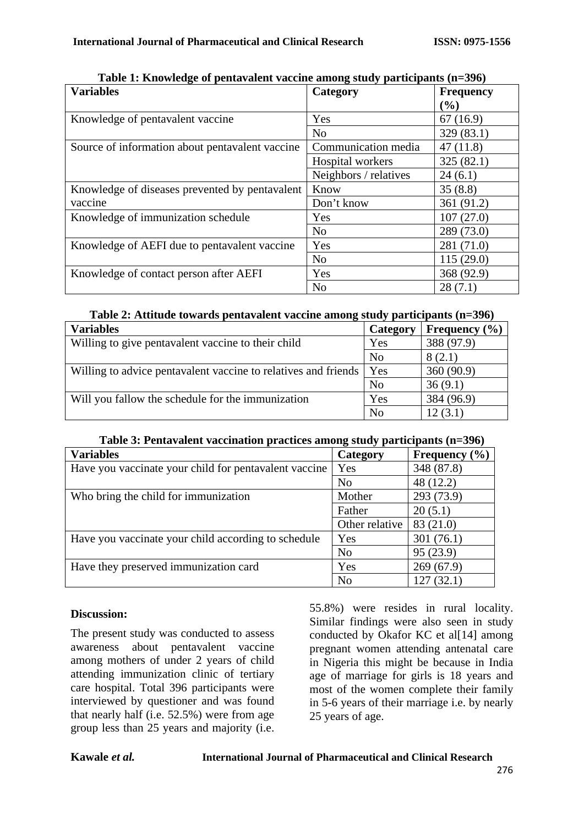| Table 1. Knowledge of pentavalent vaceme among staty participants (n=370)<br><b>Variables</b> | Category              | <b>Frequency</b> |
|-----------------------------------------------------------------------------------------------|-----------------------|------------------|
|                                                                                               |                       | (%)              |
| Knowledge of pentavalent vaccine                                                              | Yes                   | 67(16.9)         |
|                                                                                               | N <sub>o</sub>        | 329 (83.1)       |
| Source of information about pentavalent vaccine                                               | Communication media   | 47(11.8)         |
|                                                                                               | Hospital workers      | 325(82.1)        |
|                                                                                               | Neighbors / relatives | 24(6.1)          |
| Knowledge of diseases prevented by pentavalent                                                | Know                  | 35(8.8)          |
| vaccine                                                                                       | Don't know            | 361 (91.2)       |
| Knowledge of immunization schedule                                                            | Yes                   | 107(27.0)        |
|                                                                                               | N <sub>o</sub>        | 289 (73.0)       |
| Knowledge of AEFI due to pentavalent vaccine                                                  | Yes                   | 281 (71.0)       |
|                                                                                               | N <sub>o</sub>        | 115(29.0)        |
| Knowledge of contact person after AEFI                                                        | Yes                   | 368 (92.9)       |
|                                                                                               | N <sub>o</sub>        | 28(7.1)          |

**Table 1: Knowledge of pentavalent vaccine among study participants (n=396)**

### **Table 2: Attitude towards pentavalent vaccine among study participants (n=396)**

| <b>Variables</b>                                               | Category       | Frequency $(\% )$ |
|----------------------------------------------------------------|----------------|-------------------|
| Willing to give pentavalent vaccine to their child             | Yes            | 388 (97.9)        |
|                                                                | N <sub>o</sub> | 8(2.1)            |
| Willing to advice pentavalent vaccine to relatives and friends | Yes            | 360(90.9)         |
|                                                                | N <sub>o</sub> | 36(9.1)           |
| Will you fallow the schedule for the immunization              | Yes            | 384 (96.9)        |
|                                                                | N <sub>o</sub> | 12(3.1)           |

**Table 3: Pentavalent vaccination practices among study participants (n=396)**

| <b>Variables</b>                                      | Category       | Frequency $(\% )$ |
|-------------------------------------------------------|----------------|-------------------|
| Have you vaccinate your child for pentavalent vaccine | Yes            | 348 (87.8)        |
|                                                       | N <sub>o</sub> | 48 (12.2)         |
| Who bring the child for immunization                  | Mother         | 293 (73.9)        |
|                                                       | Father         | 20(5.1)           |
|                                                       | Other relative | 83 (21.0)         |
| Have you vaccinate your child according to schedule   | Yes            | 301(76.1)         |
|                                                       | N <sub>o</sub> | 95 (23.9)         |
| Have they preserved immunization card                 | Yes            | 269(67.9)         |
|                                                       | N <sub>o</sub> | 127(32.1)         |

#### **Discussion:**

The present study was conducted to assess awareness about pentavalent vaccine among mothers of under 2 years of child attending immunization clinic of tertiary care hospital. Total 396 participants were interviewed by questioner and was found that nearly half (i.e. 52.5%) were from age group less than 25 years and majority (i.e. 55.8%) were resides in rural locality. Similar findings were also seen in study conducted by Okafor KC et al[14] among pregnant women attending antenatal care in Nigeria this might be because in India age of marriage for girls is 18 years and most of the women complete their family in 5-6 years of their marriage i.e. by nearly 25 years of age.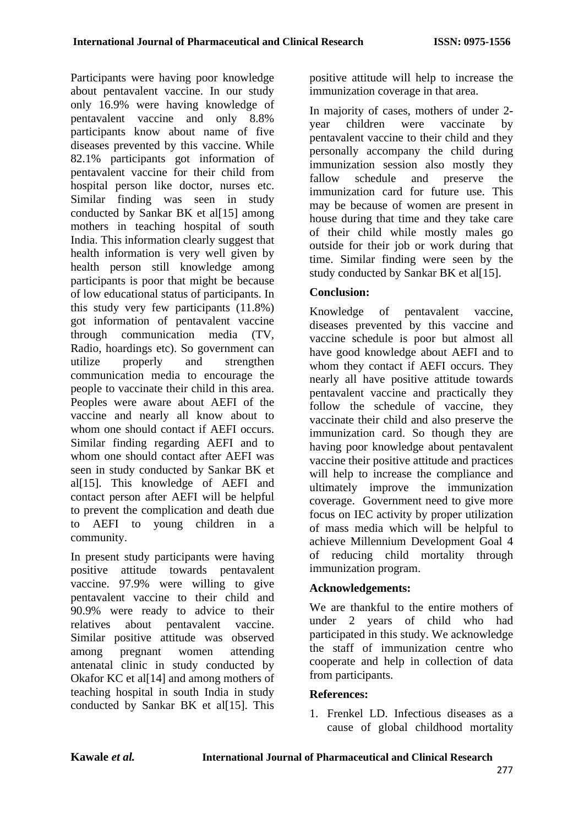Participants were having poor knowledge about pentavalent vaccine. In our study only 16.9% were having knowledge of pentavalent vaccine and only 8.8% participants know about name of five diseases prevented by this vaccine. While 82.1% participants got information of pentavalent vaccine for their child from hospital person like doctor, nurses etc. Similar finding was seen in study conducted by Sankar BK et al[15] among mothers in teaching hospital of south India. This information clearly suggest that health information is very well given by health person still knowledge among participants is poor that might be because of low educational status of participants. In this study very few participants (11.8%) got information of pentavalent vaccine through communication media (TV, Radio, hoardings etc). So government can utilize properly and strengthen communication media to encourage the people to vaccinate their child in this area. Peoples were aware about AEFI of the vaccine and nearly all know about to whom one should contact if AEFI occurs. Similar finding regarding AEFI and to whom one should contact after AEFI was seen in study conducted by Sankar BK et al[15]. This knowledge of AEFI and contact person after AEFI will be helpful to prevent the complication and death due to AEFI to young children in a community.

In present study participants were having positive attitude towards pentavalent vaccine. 97.9% were willing to give pentavalent vaccine to their child and 90.9% were ready to advice to their relatives about pentavalent vaccine. Similar positive attitude was observed among pregnant women attending antenatal clinic in study conducted by Okafor KC et al<sup>[14]</sup> and among mothers of teaching hospital in south India in study conducted by Sankar BK et al[15]. This positive attitude will help to increase the immunization coverage in that area.

In majority of cases, mothers of under 2 year children were vaccinate by pentavalent vaccine to their child and they personally accompany the child during immunization session also mostly they fallow schedule and preserve the immunization card for future use. This may be because of women are present in house during that time and they take care of their child while mostly males go outside for their job or work during that time. Similar finding were seen by the study conducted by Sankar BK et al[15].

# **Conclusion:**

Knowledge of pentavalent vaccine, diseases prevented by this vaccine and vaccine schedule is poor but almost all have good knowledge about AEFI and to whom they contact if AEFI occurs. They nearly all have positive attitude towards pentavalent vaccine and practically they follow the schedule of vaccine, they vaccinate their child and also preserve the immunization card. So though they are having poor knowledge about pentavalent vaccine their positive attitude and practices will help to increase the compliance and ultimately improve the immunization coverage. Government need to give more focus on IEC activity by proper utilization of mass media which will be helpful to achieve Millennium Development Goal 4 of reducing child mortality through immunization program.

# **Acknowledgements:**

We are thankful to the entire mothers of under 2 years of child who had participated in this study. We acknowledge the staff of immunization centre who cooperate and help in collection of data from participants.

# **References:**

1. Frenkel LD. Infectious diseases as a cause of global childhood mortality